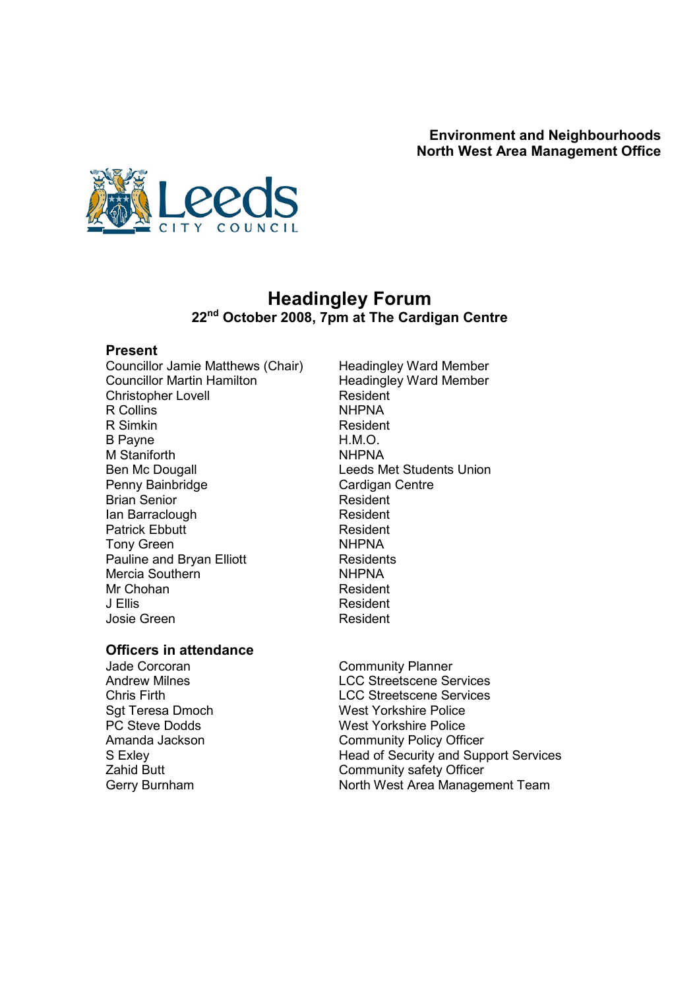

## Headingley Forum 22<sup>nd</sup> October 2008, 7pm at The Cardigan Centre

#### Present

Councillor Jamie Matthews (Chair) Headingley Ward Member<br>Councillor Martin Hamilton Headingley Ward Member Christopher Lovell Resident Resident Resident Resident Resident Resident Resident Resident Resident Resident R<br>Resident Resident Resident Resident Resident Resident Resident Resident Resident Resident Resident Resident Re R Collins R Simkin Resident B Payne **H.M.O.** M Staniforth **NHPNA**<br>
Ben Mc Dougall **Example 19 NHPNA**<br>
Leeds M Penny Bainbridge<br>
Rian Senior<br>
Resident Brian Senior<br>
Ian Barraclough Senior Resident<br>
Resident Ian Barraclough Patrick Ebbutt **Resident** Tony Green NHPNA Pauline and Bryan Elliott **Residents**<br>
Mercia Southern<br>
MHPNA Mercia Southern NHPNA<br>
Mr Chohan NHPNA<br>
Mr Chohan Mr Chohan J Ellis Resident Josie Green **Resident** 

Headingley Ward Member<br>Resident Leeds Met Students Union

# **Officers in attendance**<br>Jade Corcoran

Jade Corcoran **Community Planner**<br>
Andrew Milnes<br>
Andrew Milnes

**LCC Streetscene Services** Chris Firth LCC Streetscene Services Sgt Teresa Dmoch<br>
PC Steve Dodds
TC Steve Dodds
FC Steve Dodds
Steve Notal Steve Police
Steve Todds
Steve Notal Steve Tolice

PC Steve Dodds
Steve Todds
Steve Todds
Steve Todds
Steve Todds
Steve Todds
Steve Todds
Steve Tod PC Steve Dodds<br>
Amanda Jackson<br>
Amanda Jackson<br>
West Yorkshire Policy Office **Community Policy Officer** S Exley<br>
S Exley<br>
Zahid Butt<br>
Zahid Butt<br>
Community safety Officer Community safety Officer Gerry Burnham North West Area Management Team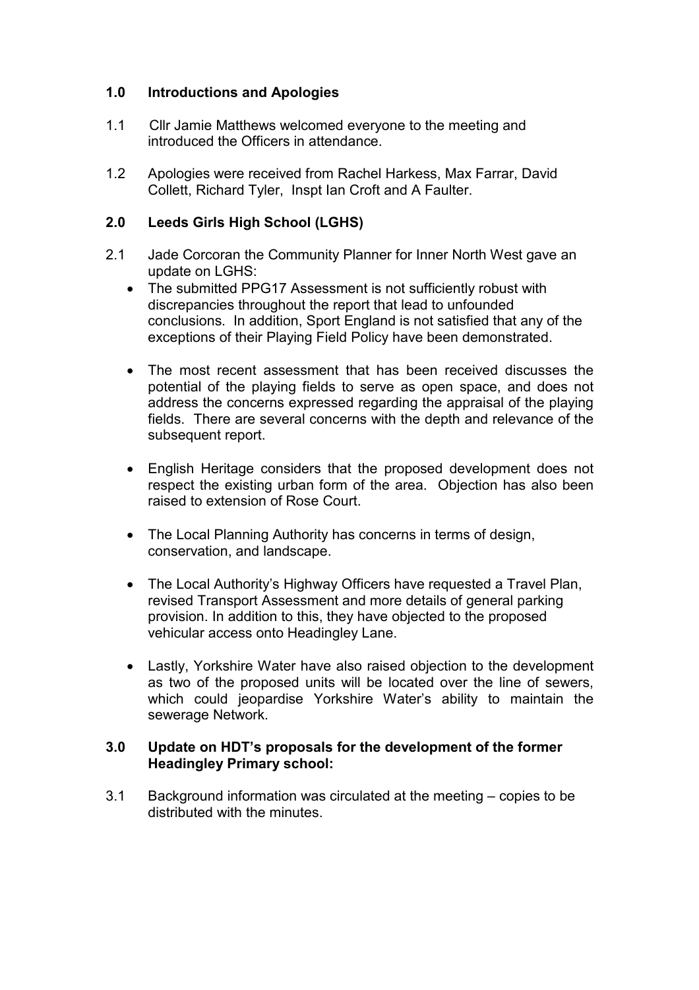### 1.0 Introductions and Apologies

- 1.1 Cllr Jamie Matthews welcomed everyone to the meeting and introduced the Officers in attendance.
- 1.2 Apologies were received from Rachel Harkess, Max Farrar, David Collett, Richard Tyler, Inspt Ian Croft and A Faulter.

#### 2.0 Leeds Girls High School (LGHS)

- 2.1 Jade Corcoran the Community Planner for Inner North West gave an update on LGHS:
	- The submitted PPG17 Assessment is not sufficiently robust with discrepancies throughout the report that lead to unfounded conclusions. In addition, Sport England is not satisfied that any of the exceptions of their Playing Field Policy have been demonstrated.
	- The most recent assessment that has been received discusses the potential of the playing fields to serve as open space, and does not address the concerns expressed regarding the appraisal of the playing fields. There are several concerns with the depth and relevance of the subsequent report.
	- English Heritage considers that the proposed development does not respect the existing urban form of the area. Objection has also been raised to extension of Rose Court.
	- The Local Planning Authority has concerns in terms of design, conservation, and landscape.
	- The Local Authority's Highway Officers have requested a Travel Plan, revised Transport Assessment and more details of general parking provision. In addition to this, they have objected to the proposed vehicular access onto Headingley Lane.
	- Lastly, Yorkshire Water have also raised objection to the development as two of the proposed units will be located over the line of sewers, which could jeopardise Yorkshire Water's ability to maintain the sewerage Network.

#### 3.0 Update on HDT's proposals for the development of the former Headingley Primary school:

3.1 Background information was circulated at the meeting – copies to be distributed with the minutes.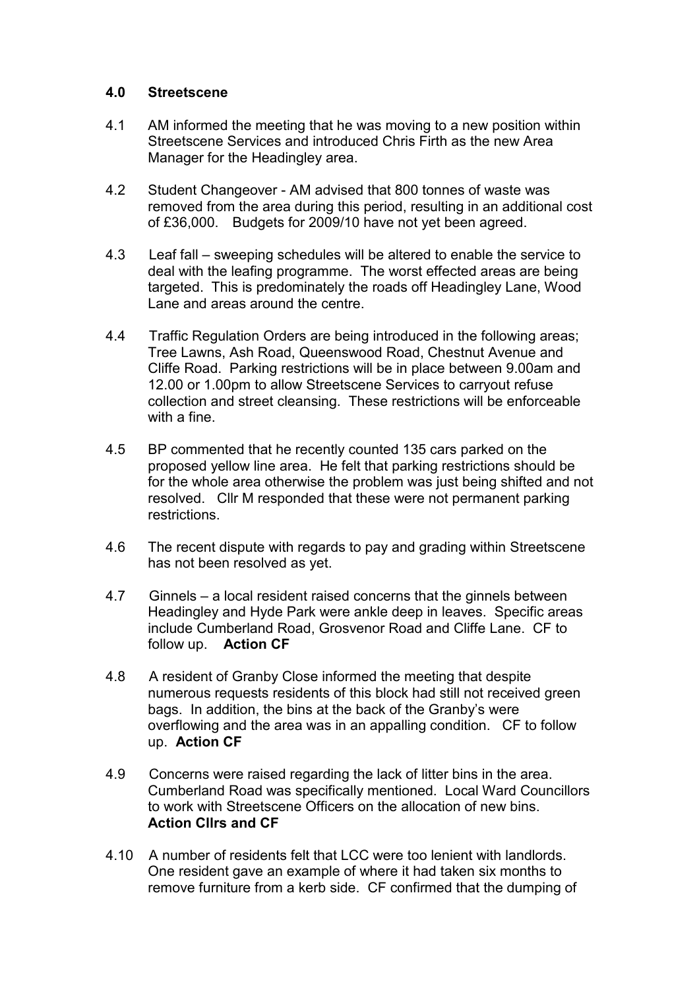#### 4.0 Streetscene

- 4.1 AM informed the meeting that he was moving to a new position within Streetscene Services and introduced Chris Firth as the new Area Manager for the Headingley area.
- 4.2 Student Changeover AM advised that 800 tonnes of waste was removed from the area during this period, resulting in an additional cost of £36,000. Budgets for 2009/10 have not yet been agreed.
- 4.3 Leaf fall sweeping schedules will be altered to enable the service to deal with the leafing programme. The worst effected areas are being targeted. This is predominately the roads off Headingley Lane, Wood Lane and areas around the centre.
- 4.4 Traffic Regulation Orders are being introduced in the following areas; Tree Lawns, Ash Road, Queenswood Road, Chestnut Avenue and Cliffe Road. Parking restrictions will be in place between 9.00am and 12.00 or 1.00pm to allow Streetscene Services to carryout refuse collection and street cleansing. These restrictions will be enforceable with a fine.
- 4.5 BP commented that he recently counted 135 cars parked on the proposed yellow line area. He felt that parking restrictions should be for the whole area otherwise the problem was just being shifted and not resolved. Cllr M responded that these were not permanent parking restrictions.
- 4.6 The recent dispute with regards to pay and grading within Streetscene has not been resolved as yet.
- 4.7 Ginnels a local resident raised concerns that the ginnels between Headingley and Hyde Park were ankle deep in leaves. Specific areas include Cumberland Road, Grosvenor Road and Cliffe Lane. CF to follow up. Action CF
- 4.8 A resident of Granby Close informed the meeting that despite numerous requests residents of this block had still not received green bags. In addition, the bins at the back of the Granby's were overflowing and the area was in an appalling condition. CF to follow up. Action CF
- 4.9 Concerns were raised regarding the lack of litter bins in the area. Cumberland Road was specifically mentioned. Local Ward Councillors to work with Streetscene Officers on the allocation of new bins. Action Cllrs and CF
- 4.10 A number of residents felt that LCC were too lenient with landlords. One resident gave an example of where it had taken six months to remove furniture from a kerb side. CF confirmed that the dumping of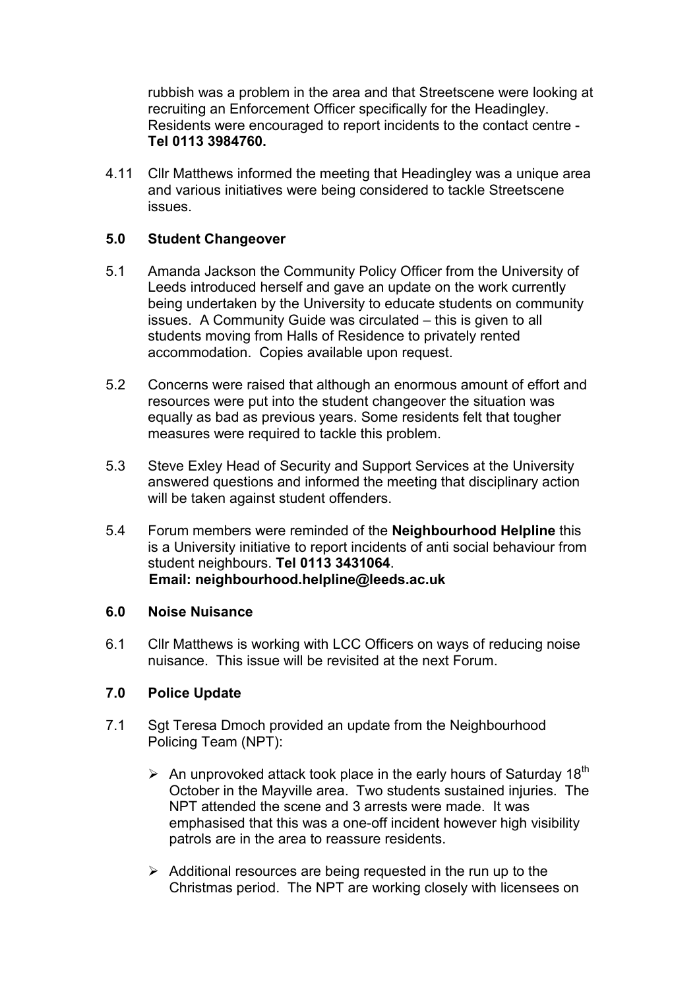rubbish was a problem in the area and that Streetscene were looking at recruiting an Enforcement Officer specifically for the Headingley. Residents were encouraged to report incidents to the contact centre - Tel 0113 3984760.

4.11 Cllr Matthews informed the meeting that Headingley was a unique area and various initiatives were being considered to tackle Streetscene issues.

#### 5.0 Student Changeover

- 5.1 Amanda Jackson the Community Policy Officer from the University of Leeds introduced herself and gave an update on the work currently being undertaken by the University to educate students on community issues. A Community Guide was circulated – this is given to all students moving from Halls of Residence to privately rented accommodation. Copies available upon request.
- 5.2 Concerns were raised that although an enormous amount of effort and resources were put into the student changeover the situation was equally as bad as previous years. Some residents felt that tougher measures were required to tackle this problem.
- 5.3 Steve Exley Head of Security and Support Services at the University answered questions and informed the meeting that disciplinary action will be taken against student offenders.
- 5.4 Forum members were reminded of the Neighbourhood Helpline this is a University initiative to report incidents of anti social behaviour from student neighbours. Tel 0113 3431064. Email: neighbourhood.helpline@leeds.ac.uk

#### 6.0 Noise Nuisance

6.1 Cllr Matthews is working with LCC Officers on ways of reducing noise nuisance. This issue will be revisited at the next Forum.

#### 7.0 Police Update

- 7.1 Sgt Teresa Dmoch provided an update from the Neighbourhood Policing Team (NPT):
	- $\triangleright$  An unprovoked attack took place in the early hours of Saturday 18<sup>th</sup> October in the Mayville area. Two students sustained injuries. The NPT attended the scene and 3 arrests were made. It was emphasised that this was a one-off incident however high visibility patrols are in the area to reassure residents.
	- $\triangleright$  Additional resources are being requested in the run up to the Christmas period. The NPT are working closely with licensees on